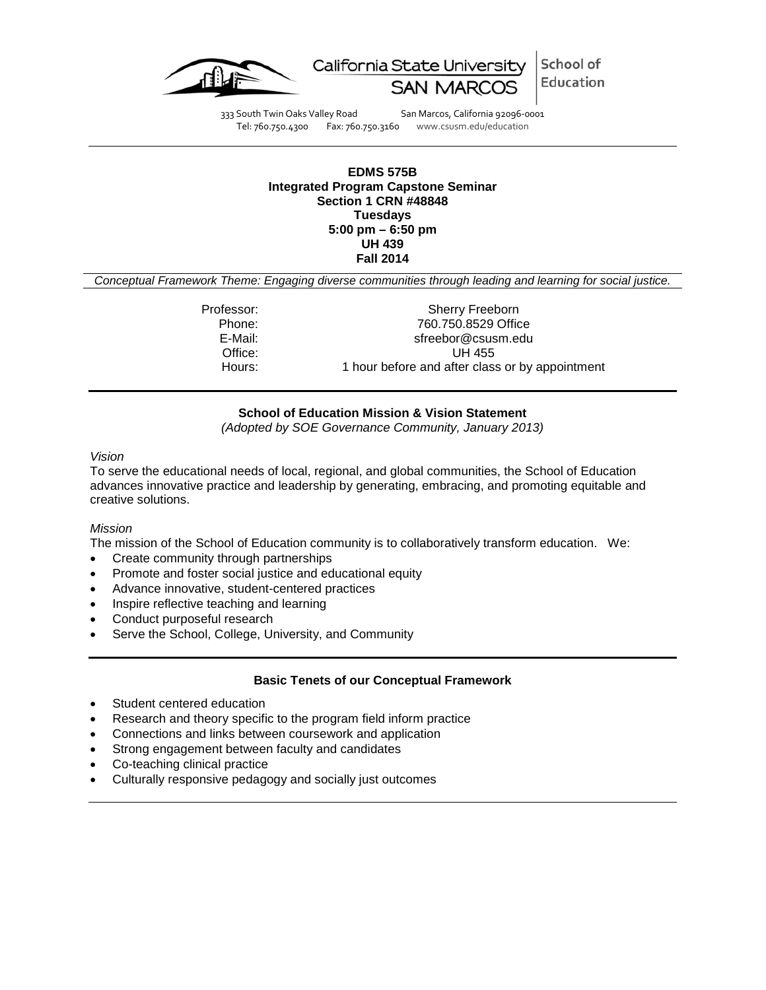



333 South Twin Oaks Valley Road San Marcos, California 92096-0001 Tel: 760.750.4300 Fax: 760.750.3160 www.csusm.edu/education

#### **EDMS 575B Integrated Program Capstone Seminar Section 1 CRN #48848 Tuesdays 5:00 pm – 6:50 pm UH 439 Fall 2014**

*Conceptual Framework Theme: Engaging diverse communities through leading and learning for social justice.*

Professor: Sherry Freeborn<br>Phone: 760.750.8529 Offic 760.750.8529 Office E-Mail: sfreebor@csusm.edu Office: UH 455<br>Hours: 1 hour before and after clas 1 hour before and after class or by appointment

# **School of Education Mission & Vision Statement**

*(Adopted by SOE Governance Community, January 2013)*

#### *Vision*

To serve the educational needs of local, regional, and global communities, the School of Education advances innovative practice and leadership by generating, embracing, and promoting equitable and creative solutions.

#### *Mission*

The mission of the School of Education community is to collaboratively transform education. We:

- Create community through partnerships
- Promote and foster social justice and educational equity
- Advance innovative, student-centered practices
- Inspire reflective teaching and learning
- Conduct purposeful research
- Serve the School, College, University, and Community

#### **Basic Tenets of our Conceptual Framework**

- Student centered education
- Research and theory specific to the program field inform practice
- Connections and links between coursework and application
- Strong engagement between faculty and candidates
- Co-teaching clinical practice
- Culturally responsive pedagogy and socially just outcomes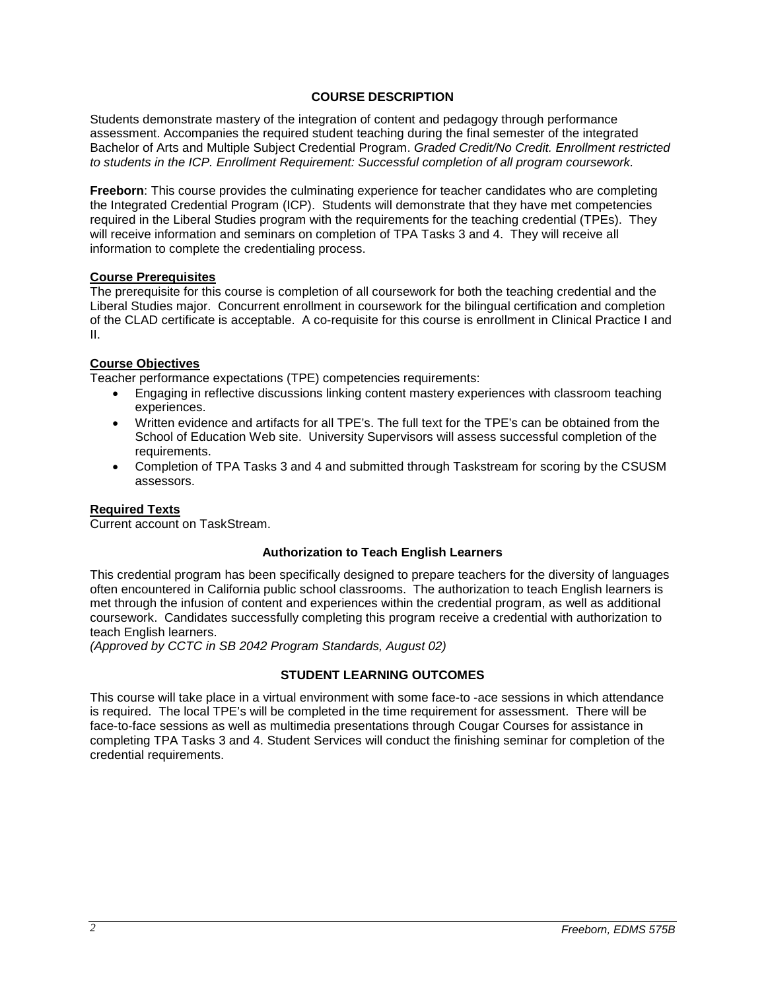## **COURSE DESCRIPTION**

Students demonstrate mastery of the integration of content and pedagogy through performance assessment. Accompanies the required student teaching during the final semester of the integrated Bachelor of Arts and Multiple Subject Credential Program. *Graded Credit/No Credit. Enrollment restricted to students in the ICP. Enrollment Requirement: Successful completion of all program coursework.*

**Freeborn**: This course provides the culminating experience for teacher candidates who are completing the Integrated Credential Program (ICP). Students will demonstrate that they have met competencies required in the Liberal Studies program with the requirements for the teaching credential (TPEs). They will receive information and seminars on completion of TPA Tasks 3 and 4. They will receive all information to complete the credentialing process.

#### **Course Prerequisites**

The prerequisite for this course is completion of all coursework for both the teaching credential and the Liberal Studies major. Concurrent enrollment in coursework for the bilingual certification and completion of the CLAD certificate is acceptable. A co-requisite for this course is enrollment in Clinical Practice I and II.

### **Course Objectives**

Teacher performance expectations (TPE) competencies requirements:

- Engaging in reflective discussions linking content mastery experiences with classroom teaching experiences.
- Written evidence and artifacts for all TPE's. The full text for the TPE's can be obtained from the School of Education Web site. University Supervisors will assess successful completion of the requirements.
- Completion of TPA Tasks 3 and 4 and submitted through Taskstream for scoring by the CSUSM assessors.

# **Required Texts**

Current account on TaskStream.

#### **Authorization to Teach English Learners**

This credential program has been specifically designed to prepare teachers for the diversity of languages often encountered in California public school classrooms. The authorization to teach English learners is met through the infusion of content and experiences within the credential program, as well as additional coursework. Candidates successfully completing this program receive a credential with authorization to teach English learners.

*(Approved by CCTC in SB 2042 Program Standards, August 02)*

# **STUDENT LEARNING OUTCOMES**

This course will take place in a virtual environment with some face-to -ace sessions in which attendance is required. The local TPE's will be completed in the time requirement for assessment. There will be face-to-face sessions as well as multimedia presentations through Cougar Courses for assistance in completing TPA Tasks 3 and 4. Student Services will conduct the finishing seminar for completion of the credential requirements.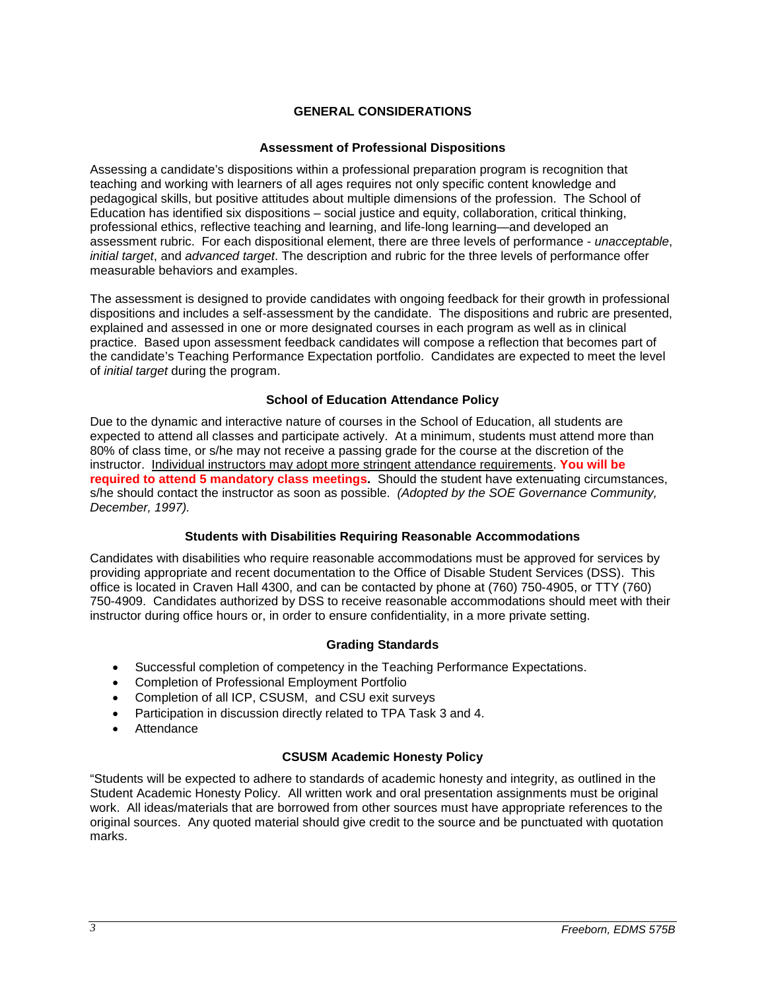# **GENERAL CONSIDERATIONS**

## **Assessment of Professional Dispositions**

Assessing a candidate's dispositions within a professional preparation program is recognition that teaching and working with learners of all ages requires not only specific content knowledge and pedagogical skills, but positive attitudes about multiple dimensions of the profession. The School of Education has identified six dispositions – social justice and equity, collaboration, critical thinking, professional ethics, reflective teaching and learning, and life-long learning—and developed an assessment rubric. For each dispositional element, there are three levels of performance - *unacceptable*, *initial target*, and *advanced target*. The description and rubric for the three levels of performance offer measurable behaviors and examples.

The assessment is designed to provide candidates with ongoing feedback for their growth in professional dispositions and includes a self-assessment by the candidate. The dispositions and rubric are presented, explained and assessed in one or more designated courses in each program as well as in clinical practice. Based upon assessment feedback candidates will compose a reflection that becomes part of the candidate's Teaching Performance Expectation portfolio. Candidates are expected to meet the level of *initial target* during the program.

### **School of Education Attendance Policy**

Due to the dynamic and interactive nature of courses in the School of Education, all students are expected to attend all classes and participate actively. At a minimum, students must attend more than 80% of class time, or s/he may not receive a passing grade for the course at the discretion of the instructor. Individual instructors may adopt more stringent attendance requirements. **You will be required to attend 5 mandatory class meetings.** Should the student have extenuating circumstances, s/he should contact the instructor as soon as possible. *(Adopted by the SOE Governance Community, December, 1997).*

# **Students with Disabilities Requiring Reasonable Accommodations**

Candidates with disabilities who require reasonable accommodations must be approved for services by providing appropriate and recent documentation to the Office of Disable Student Services (DSS). This office is located in Craven Hall 4300, and can be contacted by phone at (760) 750-4905, or TTY (760) 750-4909. Candidates authorized by DSS to receive reasonable accommodations should meet with their instructor during office hours or, in order to ensure confidentiality, in a more private setting.

#### **Grading Standards**

- Successful completion of competency in the Teaching Performance Expectations.
- Completion of Professional Employment Portfolio
- Completion of all ICP, CSUSM, and CSU exit surveys
- Participation in discussion directly related to TPA Task 3 and 4.
- Attendance

## **CSUSM Academic Honesty Policy**

"Students will be expected to adhere to standards of academic honesty and integrity, as outlined in the Student Academic Honesty Policy. All written work and oral presentation assignments must be original work. All ideas/materials that are borrowed from other sources must have appropriate references to the original sources. Any quoted material should give credit to the source and be punctuated with quotation marks.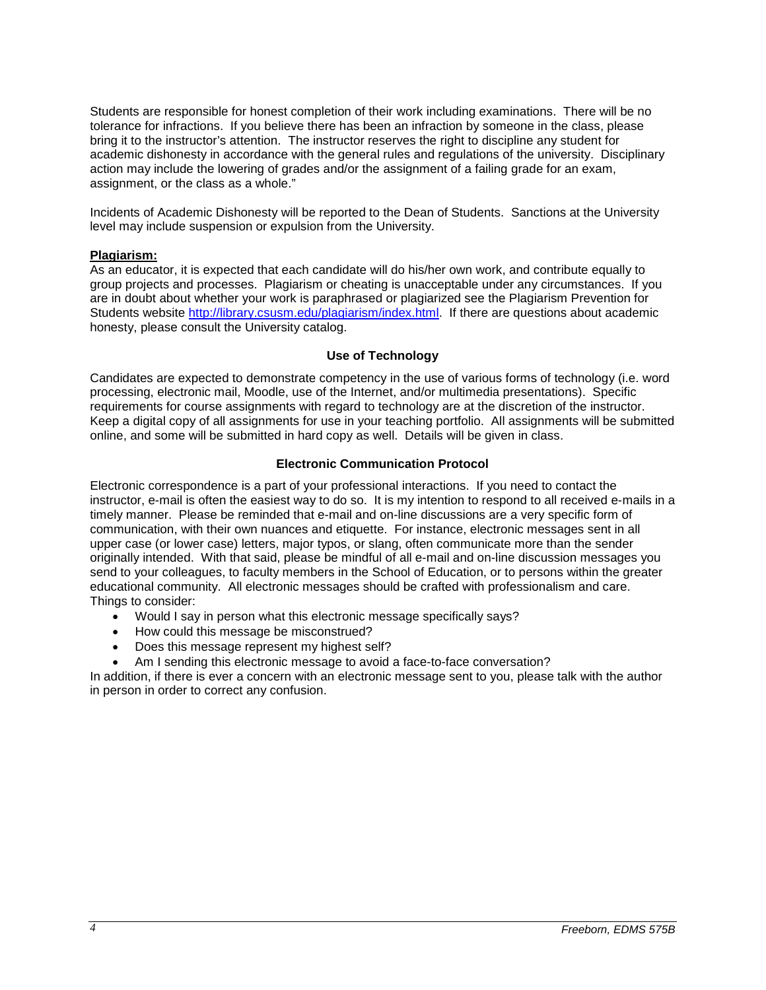Students are responsible for honest completion of their work including examinations. There will be no tolerance for infractions. If you believe there has been an infraction by someone in the class, please bring it to the instructor's attention. The instructor reserves the right to discipline any student for academic dishonesty in accordance with the general rules and regulations of the university. Disciplinary action may include the lowering of grades and/or the assignment of a failing grade for an exam, assignment, or the class as a whole."

Incidents of Academic Dishonesty will be reported to the Dean of Students. Sanctions at the University level may include suspension or expulsion from the University.

### **Plagiarism:**

As an educator, it is expected that each candidate will do his/her own work, and contribute equally to group projects and processes. Plagiarism or cheating is unacceptable under any circumstances. If you are in doubt about whether your work is paraphrased or plagiarized see the Plagiarism Prevention for Students website [http://library.csusm.edu/plagiarism/index.html.](http://library.csusm.edu/plagiarism/index.html) If there are questions about academic honesty, please consult the University catalog.

### **Use of Technology**

Candidates are expected to demonstrate competency in the use of various forms of technology (i.e. word processing, electronic mail, Moodle, use of the Internet, and/or multimedia presentations). Specific requirements for course assignments with regard to technology are at the discretion of the instructor. Keep a digital copy of all assignments for use in your teaching portfolio. All assignments will be submitted online, and some will be submitted in hard copy as well. Details will be given in class.

### **Electronic Communication Protocol**

Electronic correspondence is a part of your professional interactions. If you need to contact the instructor, e-mail is often the easiest way to do so. It is my intention to respond to all received e-mails in a timely manner. Please be reminded that e-mail and on-line discussions are a very specific form of communication, with their own nuances and etiquette. For instance, electronic messages sent in all upper case (or lower case) letters, major typos, or slang, often communicate more than the sender originally intended. With that said, please be mindful of all e-mail and on-line discussion messages you send to your colleagues, to faculty members in the School of Education, or to persons within the greater educational community. All electronic messages should be crafted with professionalism and care. Things to consider:

- Would I say in person what this electronic message specifically says?
- How could this message be misconstrued?
- Does this message represent my highest self?
- Am I sending this electronic message to avoid a face-to-face conversation?

In addition, if there is ever a concern with an electronic message sent to you, please talk with the author in person in order to correct any confusion.